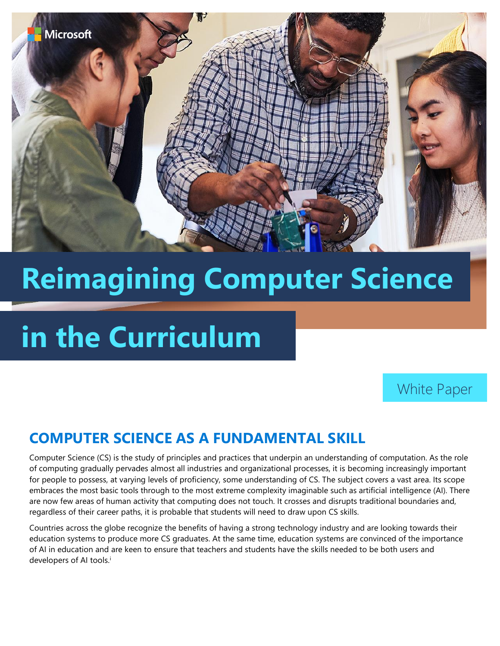

# **Reimagining Computer Science**

## **in the Curriculum**

White Paper

## **COMPUTER SCIENCE AS A FUNDAMENTAL SKILL**

Computer Science (CS) is the study of principles and practices that underpin an understanding of computation. As the role of computing gradually pervades almost all industries and organizational processes, it is becoming increasingly important for people to possess, at varying levels of proficiency, some understanding of CS. The subject covers a vast area. Its scope embraces the most basic tools through to the most extreme complexity imaginable such as artificial intelligence (AI). There are now few areas of human activity that computing does not touch. It crosses and disrupts traditional boundaries and, regardless of their career paths, it is probable that students will need to draw upon CS skills.

Countries across the globe recognize the benefits of having a strong technology industry and are looking towards their education systems to produce more CS graduates. At the same time, education systems are convinced of the importance of AI in education and are keen to ensure that teachers and students have the skills needed to be both users and developers of AI tools.<sup>i</sup>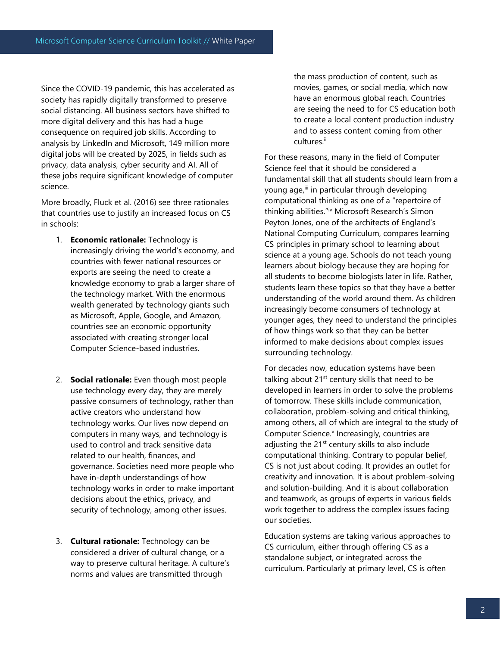Since the COVID-19 pandemic, this has accelerated as society has rapidly digitally transformed to preserve social distancing. All business sectors have shifted to more digital delivery and this has had a huge consequence on required job skills. According to analysis by LinkedIn and Microsoft, 149 million more digital jobs will be created by 2025, in fields such as privacy, data analysis, cyber security and AI. All of these jobs require significant knowledge of computer science.

More broadly, Fluck et al. (2016) see three rationales that countries use to justify an increased focus on CS in schools:

- 1. **Economic rationale:** Technology is increasingly driving the world's economy, and countries with fewer national resources or exports are seeing the need to create a knowledge economy to grab a larger share of the technology market. With the enormous wealth generated by technology giants such as Microsoft, Apple, Google, and Amazon, countries see an economic opportunity associated with creating stronger local Computer Science-based industries.
- 2. **Social rationale:** Even though most people use technology every day, they are merely passive consumers of technology, rather than active creators who understand how technology works. Our lives now depend on computers in many ways, and technology is used to control and track sensitive data related to our health, finances, and governance. Societies need more people who have in-depth understandings of how technology works in order to make important decisions about the ethics, privacy, and security of technology, among other issues.
- 3. **Cultural rationale:** Technology can be considered a driver of cultural change, or a way to preserve cultural heritage. A culture's norms and values are transmitted through

the mass production of content, such as movies, games, or social media, which now have an enormous global reach. Countries are seeing the need to for CS education both to create a local content production industry and to assess content coming from other cultures.<sup>ii</sup>

For these reasons, many in the field of Computer Science feel that it should be considered a fundamental skill that all students should learn from a young age, iii in particular through developing computational thinking as one of a "repertoire of thinking abilities."iv Microsoft Research's Simon Peyton Jones, one of the architects of England's National Computing Curriculum, compares learning CS principles in primary school to learning about science at a young age. Schools do not teach young learners about biology because they are hoping for all students to become biologists later in life. Rather, students learn these topics so that they have a better understanding of the world around them. As children increasingly become consumers of technology at younger ages, they need to understand the principles of how things work so that they can be better informed to make decisions about complex issues surrounding technology.

For decades now, education systems have been talking about  $21^{st}$  century skills that need to be developed in learners in order to solve the problems of tomorrow. These skills include communication, collaboration, problem-solving and critical thinking, among others, all of which are integral to the study of Computer Science.<sup>v</sup> Increasingly, countries are adjusting the 21<sup>st</sup> century skills to also include computational thinking. Contrary to popular belief, CS is not just about coding. It provides an outlet for creativity and innovation. It is about problem-solving and solution-building. And it is about collaboration and teamwork, as groups of experts in various fields work together to address the complex issues facing our societies.

Education systems are taking various approaches to CS curriculum, either through offering CS as a standalone subject, or integrated across the curriculum. Particularly at primary level, CS is often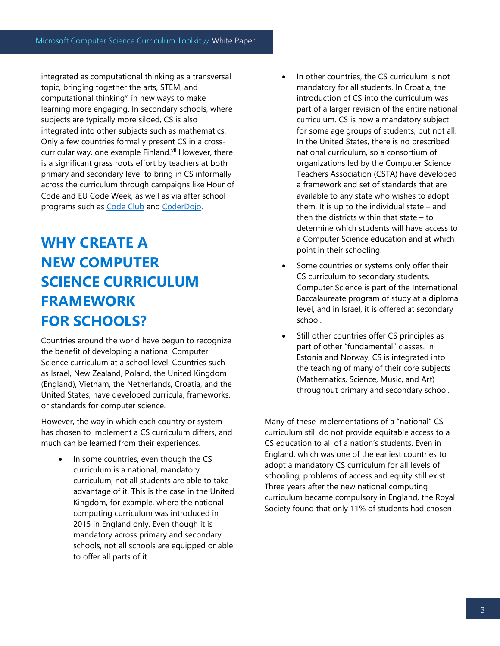integrated as computational thinking as a transversal topic, bringing together the arts, STEM, and computational thinking $v$  in new ways to make learning more engaging. In secondary schools, where subjects are typically more siloed, CS is also integrated into other subjects such as mathematics. Only a few countries formally present CS in a crosscurricular way, one example Finland.<sup>vii</sup> However, there is a significant grass roots effort by teachers at both primary and secondary level to bring in CS informally across the curriculum through campaigns like Hour of Code and EU Code Week, as well as via after school programs such as [Code Club](https://www.codeclubworld.org/) and [CoderDojo.](https://coderdojo.com/)

## **WHY CREATE A NEW COMPUTER SCIENCE CURRICULUM FRAMEWORK FOR SCHOOLS?**

Countries around the world have begun to recognize the benefit of developing a national Computer Science curriculum at a school level. Countries such as Israel, New Zealand, Poland, the United Kingdom (England), Vietnam, the Netherlands, Croatia, and the United States, have developed curricula, frameworks, or standards for computer science.

However, the way in which each country or system has chosen to implement a CS curriculum differs, and much can be learned from their experiences.

In some countries, even though the CS curriculum is a national, mandatory curriculum, not all students are able to take advantage of it. This is the case in the United Kingdom, for example, where the national computing curriculum was introduced in 2015 in England only. Even though it is mandatory across primary and secondary schools, not all schools are equipped or able to offer all parts of it.

- In other countries, the CS curriculum is not mandatory for all students. In Croatia, the introduction of CS into the curriculum was part of a larger revision of the entire national curriculum. CS is now a mandatory subject for some age groups of students, but not all. In the United States, there is no prescribed national curriculum, so a consortium of organizations led by the Computer Science Teachers Association (CSTA) have developed a framework and set of standards that are available to any state who wishes to adopt them. It is up to the individual state – and then the districts within that state – to determine which students will have access to a Computer Science education and at which point in their schooling.
- Some countries or systems only offer their CS curriculum to secondary students. Computer Science is part of the International Baccalaureate program of study at a diploma level, and in Israel, it is offered at secondary school.
- Still other countries offer CS principles as part of other "fundamental" classes. In Estonia and Norway, CS is integrated into the teaching of many of their core subjects (Mathematics, Science, Music, and Art) throughout primary and secondary school.

Many of these implementations of a "national" CS curriculum still do not provide equitable access to a CS education to all of a nation's students. Even in England, which was one of the earliest countries to adopt a mandatory CS curriculum for all levels of schooling, problems of access and equity still exist. Three years after the new national computing curriculum became compulsory in England, the Royal Society found that only 11% of students had chosen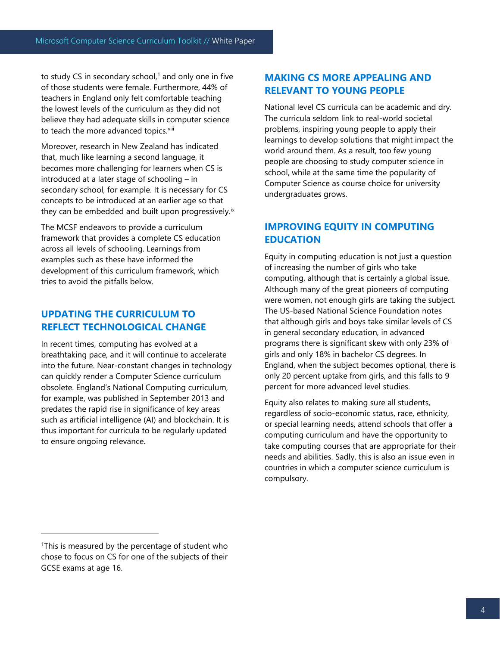to study CS in secondary school, $1$  and only one in five of those students were female. Furthermore, 44% of teachers in England only felt comfortable teaching the lowest levels of the curriculum as they did not believe they had adequate skills in computer science to teach the more advanced topics.<sup>viii</sup>

Moreover, research in New Zealand has indicated that, much like learning a second language, it becomes more challenging for learners when CS is introduced at a later stage of schooling – in secondary school, for example. It is necessary for CS concepts to be introduced at an earlier age so that they can be embedded and built upon progressively.<sup>ix</sup>

The MCSF endeavors to provide a curriculum framework that provides a complete CS education across all levels of schooling. Learnings from examples such as these have informed the development of this curriculum framework, which tries to avoid the pitfalls below.

### **UPDATING THE CURRICULUM TO REFLECT TECHNOLOGICAL CHANGE**

In recent times, computing has evolved at a breathtaking pace, and it will continue to accelerate into the future. Near-constant changes in technology can quickly render a Computer Science curriculum obsolete. England's National Computing curriculum, for example, was published in September 2013 and predates the rapid rise in significance of key areas such as artificial intelligence (AI) and blockchain. It is thus important for curricula to be regularly updated to ensure ongoing relevance.

#### **MAKING CS MORE APPEALING AND RELEVANT TO YOUNG PEOPLE**

National level CS curricula can be academic and dry. The curricula seldom link to real-world societal problems, inspiring young people to apply their learnings to develop solutions that might impact the world around them. As a result, too few young people are choosing to study computer science in school, while at the same time the popularity of Computer Science as course choice for university undergraduates grows.

### **IMPROVING EQUITY IN COMPUTING EDUCATION**

Equity in computing education is not just a question of increasing the number of girls who take computing, although that is certainly a global issue. Although many of the great pioneers of computing were women, not enough girls are taking the subject. The US-based National Science Foundation notes that although girls and boys take similar levels of CS in general secondary education, in advanced programs there is significant skew with only 23% of girls and only 18% in bachelor CS degrees. In England, when the subject becomes optional, there is only 20 percent uptake from girls, and this falls to 9 percent for more advanced level studies.

Equity also relates to making sure all students, regardless of socio-economic status, race, ethnicity, or special learning needs, attend schools that offer a computing curriculum and have the opportunity to take computing courses that are appropriate for their needs and abilities. Sadly, this is also an issue even in countries in which a computer science curriculum is compulsory.

<sup>&</sup>lt;sup>1</sup>This is measured by the percentage of student who chose to focus on CS for one of the subjects of their GCSE exams at age 16.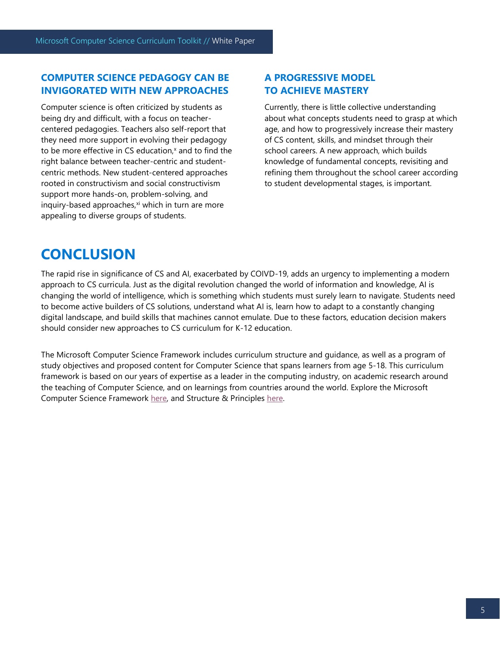#### **COMPUTER SCIENCE PEDAGOGY CAN BE INVIGORATED WITH NEW APPROACHES**

Computer science is often criticized by students as being dry and difficult, with a focus on teachercentered pedagogies. Teachers also self-report that they need more support in evolving their pedagogy to be more effective in CS education,<sup>x</sup> and to find the right balance between teacher-centric and studentcentric methods. New student-centered approaches rooted in constructivism and social constructivism support more hands-on, problem-solving, and inquiry-based approaches, $x_i$  which in turn are more appealing to diverse groups of students.

#### **A PROGRESSIVE MODEL TO ACHIEVE MASTERY**

Currently, there is little collective understanding about what concepts students need to grasp at which age, and how to progressively increase their mastery of CS content, skills, and mindset through their school careers. A new approach, which builds knowledge of fundamental concepts, revisiting and refining them throughout the school career according to student developmental stages, is important.

### **CONCLUSION**

The rapid rise in significance of CS and AI, exacerbated by COIVD-19, adds an urgency to implementing a modern approach to CS curricula. Just as the digital revolution changed the world of information and knowledge, AI is changing the world of intelligence, which is something which students must surely learn to navigate. Students need to become active builders of CS solutions, understand what AI is, learn how to adapt to a constantly changing digital landscape, and build skills that machines cannot emulate. Due to these factors, education decision makers should consider new approaches to CS curriculum for K-12 education.

The Microsoft Computer Science Framework includes curriculum structure and guidance, as well as a program of study objectives and proposed content for Computer Science that spans learners from age 5-18. This curriculum framework is based on our years of expertise as a leader in the computing industry, on academic research around the teaching of Computer Science, and on learnings from countries around the world. Explore the Microsoft Computer Science Framework [here,](http://www.aka.ms/MCSFCurriculum) and Structure & Principles [here.](http://www.aka.ms/MCSFCurriculumStructure)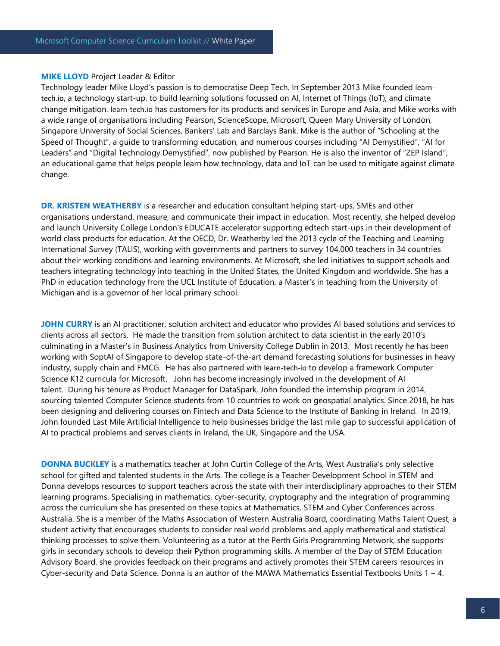#### **MIKE LLOYD** Project Leader & Editor

Technology leader Mike Lloyd's passion is to democratise Deep Tech. In September 2013 Mike founded learntech.io, a technology start-up, to build learning solutions focussed on AI, Internet of Things (IoT), and climate change mitigation. learn-tech.io has customers for its products and services in Europe and Asia, and Mike works with a wide range of organisations including Pearson, ScienceScope, Microsoft, Queen Mary University of London, Singapore University of Social Sciences, Bankers' Lab and Barclays Bank. Mike is the author of "Schooling at the Speed of Thought", a guide to transforming education, and numerous courses including "AI Demystified", "AI for Leaders" and "Digital Technology Demystified", now published by Pearson. He is also the inventor of "ZEP Island", an educational game that helps people learn how technology, data and IoT can be used to mitigate against climate change.

**DR. KRISTEN WEATHERBY** is a researcher and education consultant helping start-ups, SMEs and other organisations understand, measure, and communicate their impact in education. Most recently, she helped develop and launch University College London's EDUCATE accelerator supporting edtech start-ups in their development of world class products for education. At the OECD, Dr. Weatherby led the 2013 cycle of the Teaching and Learning International Survey (TALIS), working with governments and partners to survey 104,000 teachers in 34 countries about their working conditions and learning environments. At Microsoft, she led initiatives to support schools and teachers integrating technology into teaching in the United States, the United Kingdom and worldwide. She has a PhD in education technology from the UCL Institute of Education, a Master's in teaching from the University of Michigan and is a governor of her local primary school.

**JOHN CURRY** is an AI practitioner, solution architect and educator who provides AI based solutions and services to clients across all sectors. He made the transition from solution architect to data scientist in the early 2010's culminating in a Master's in Business Analytics from University College Dublin in 2013. Most recently he has been working with SoptAI of Singapore to develop state-of-the-art demand forecasting solutions for businesses in heavy industry, supply chain and FMCG. He has also partnered with learn-tech-io to develop a framework Computer Science K12 curricula for Microsoft. John has become increasingly involved in the development of AI talent. During his tenure as Product Manager for DataSpark, John founded the internship program in 2014, sourcing talented Computer Science students from 10 countries to work on geospatial analytics. Since 2018, he has been designing and delivering courses on Fintech and Data Science to the Institute of Banking in Ireland. In 2019, John founded Last Mile Artificial Intelligence to help businesses bridge the last mile gap to successful application of AI to practical problems and serves clients in Ireland, the UK, Singapore and the USA.

**DONNA BUCKLEY** is a mathematics teacher at John Curtin College of the Arts, West Australia's only selective school for gifted and talented students in the Arts. The college is a Teacher Development School in STEM and Donna develops resources to support teachers across the state with their interdisciplinary approaches to their STEM learning programs. Specialising in mathematics, cyber-security, cryptography and the integration of programming across the curriculum she has presented on these topics at Mathematics, STEM and Cyber Conferences across Australia. She is a member of the Maths Association of Western Australia Board, coordinating Maths Talent Quest, a student activity that encourages students to consider real world problems and apply mathematical and statistical thinking processes to solve them. Volunteering as a tutor at the Perth Girls Programming Network, she supports girls in secondary schools to develop their Python programming skills. A member of the Day of STEM Education Advisory Board, she provides feedback on their programs and actively promotes their STEM careers resources in Cyber-security and Data Science. Donna is an author of the MAWA Mathematics Essential Textbooks Units  $1 - 4$ .